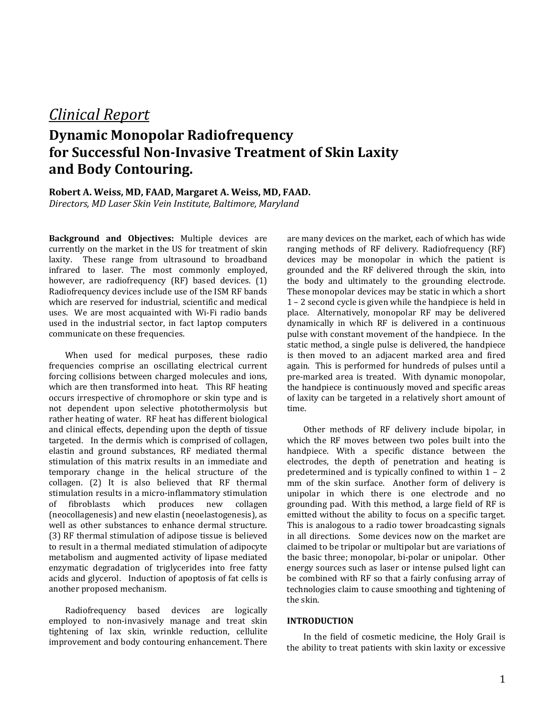## *Clinical Report*

# **Dynamic Monopolar Radiofrequency for Successful Non-Invasive Treatment of Skin Laxity and Body Contouring.**

### **Robert A. Weiss, MD, FAAD, Margaret A. Weiss, MD, FAAD.** *Directors, MD Laser Skin Vein Institute, Baltimore, Maryland*

**Background and Objectives:** Multiple devices are currently on the market in the US for treatment of skin laxity. These range from ultrasound to broadband infrared to laser. The most commonly employed, however, are radiofrequency (RF) based devices. (1) Radiofrequency devices include use of the ISM RF bands which are reserved for industrial, scientific and medical uses. We are most acquainted with Wi-Fi radio bands used in the industrial sector, in fact laptop computers communicate on these frequencies.

When used for medical purposes, these radio frequencies comprise an oscillating electrical current forcing collisions between charged molecules and ions, which are then transformed into heat. This RF heating occurs irrespective of chromophore or skin type and is not dependent upon selective photothermolysis but rather heating of water. RF heat has different biological and clinical effects, depending upon the depth of tissue targeted. In the dermis which is comprised of collagen, elastin and ground substances, RF mediated thermal stimulation of this matrix results in an immediate and temporary change in the helical structure of the collagen. (2) It is also believed that RF thermal stimulation results in a micro-inflammatory stimulation<br>of fibroblasts which produces new collagen which produces (neocollagenesis) and new elastin (neoelastogenesis), as well as other substances to enhance dermal structure. (3) RF thermal stimulation of adipose tissue is believed to result in a thermal mediated stimulation of adipocyte metabolism and augmented activity of lipase mediated enzymatic degradation of triglycerides into free fatty acids and glycerol. Induction of apoptosis of fat cells is another proposed mechanism.

Radiofrequency based devices are logically employed to non-invasively manage and treat skin tightening of lax skin, wrinkle reduction, cellulite improvement and body contouring enhancement. There

are many devices on the market, each of which has wide ranging methods of RF delivery. Radiofrequency (RF) devices may be monopolar in which the patient is grounded and the RF delivered through the skin, into the body and ultimately to the grounding electrode. These monopolar devices may be static in which a short 1 – 2 second cycle is given while the handpiece is held in place. Alternatively, monopolar RF may be delivered dynamically in which RF is delivered in a continuous pulse with constant movement of the handpiece. In the static method, a single pulse is delivered, the handpiece is then moved to an adjacent marked area and fired again. This is performed for hundreds of pulses until a pre-marked area is treated. With dynamic monopolar, the handpiece is continuously moved and specific areas of laxity can be targeted in a relatively short amount of time.

Other methods of RF delivery include bipolar, in which the RF moves between two poles built into the handpiece. With a specific distance between the electrodes, the depth of penetration and heating is predetermined and is typically confined to within 1 – 2 mm of the skin surface. Another form of delivery is unipolar in which there is one electrode and no grounding pad. With this method, a large field of RF is emitted without the ability to focus on a specific target. This is analogous to a radio tower broadcasting signals in all directions. Some devices now on the market are claimed to be tripolar or multipolar but are variations of the basic three; monopolar, bi-polar or unipolar. Other energy sources such as laser or intense pulsed light can be combined with RF so that a fairly confusing array of technologies claim to cause smoothing and tightening of the skin.

#### **INTRODUCTION**

In the field of cosmetic medicine, the Holy Grail is the ability to treat patients with skin laxity or excessive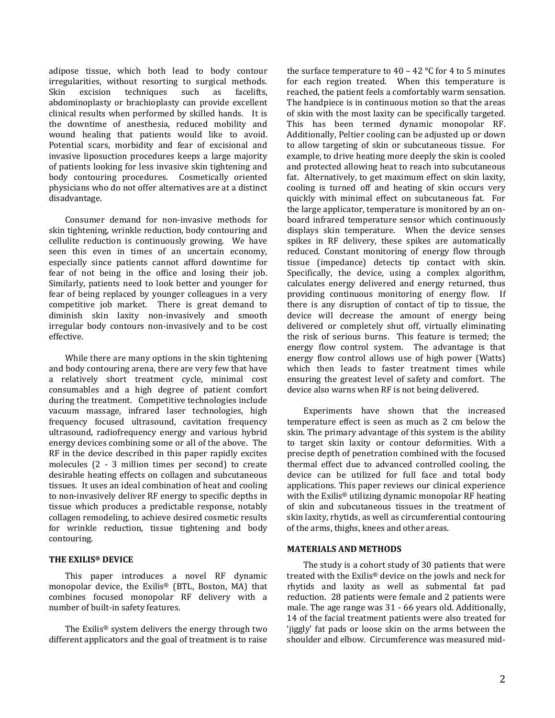adipose tissue, which both lead to body contour irregularities, without resorting to surgical methods.<br>Skin excision techniques such as facelifts, techniques abdominoplasty or brachioplasty can provide excellent clinical results when performed by skilled hands. It is the downtime of anesthesia, reduced mobility and wound healing that patients would like to avoid. Potential scars, morbidity and fear of excisional and invasive liposuction procedures keeps a large majority of patients looking for less invasive skin tightening and body contouring procedures. Cosmetically oriented physicians who do not offer alternatives are at a distinct disadvantage.

Consumer demand for non-invasive methods for skin tightening, wrinkle reduction, body contouring and cellulite reduction is continuously growing. We have seen this even in times of an uncertain economy, especially since patients cannot afford downtime for fear of not being in the office and losing their job. Similarly, patients need to look better and younger for fear of being replaced by younger colleagues in a very competitive job market. There is great demand to diminish skin laxity non-invasively and smooth irregular body contours non-invasively and to be cost effective.

While there are many options in the skin tightening and body contouring arena, there are very few that have a relatively short treatment cycle, minimal cost consumables and a high degree of patient comfort during the treatment. Competitive technologies include vacuum massage, infrared laser technologies, high frequency focused ultrasound, cavitation frequency ultrasound, radiofrequency energy and various hybrid energy devices combining some or all of the above. The RF in the device described in this paper rapidly excites molecules (2 - 3 million times per second) to create desirable heating effects on collagen and subcutaneous tissues. It uses an ideal combination of heat and cooling to non-invasively deliver RF energy to specific depths in tissue which produces a predictable response, notably collagen remodeling, to achieve desired cosmetic results for wrinkle reduction, tissue tightening and body contouring.

#### **THE EXILIS® DEVICE**

This paper introduces a novel RF dynamic monopolar device, the Exilis® (BTL, Boston, MA) that combines focused monopolar RF delivery with a number of built-in safety features.

The Exilis® system delivers the energy through two different applicators and the goal of treatment is to raise the surface temperature to  $40 - 42$  °C for 4 to 5 minutes for each region treated. When this temperature is reached, the patient feels a comfortably warm sensation. The handpiece is in continuous motion so that the areas of skin with the most laxity can be specifically targeted. This has been termed dynamic monopolar RF. Additionally, Peltier cooling can be adjusted up or down to allow targeting of skin or subcutaneous tissue. For example, to drive heating more deeply the skin is cooled and protected allowing heat to reach into subcutaneous fat. Alternatively, to get maximum effect on skin laxity, cooling is turned off and heating of skin occurs very quickly with minimal effect on subcutaneous fat. For the large applicator, temperature is monitored by an onboard infrared temperature sensor which continuously displays skin temperature. When the device senses spikes in RF delivery, these spikes are automatically reduced. Constant monitoring of energy flow through tissue (impedance) detects tip contact with skin. Specifically, the device, using a complex algorithm, calculates energy delivered and energy returned, thus providing continuous monitoring of energy flow. If there is any disruption of contact of tip to tissue, the device will decrease the amount of energy being delivered or completely shut off, virtually eliminating the risk of serious burns. This feature is termed; the energy flow control system. The advantage is that energy flow control allows use of high power (Watts) which then leads to faster treatment times while ensuring the greatest level of safety and comfort. The device also warns when RF is not being delivered.

Experiments have shown that the increased temperature effect is seen as much as 2 cm below the skin. The primary advantage of this system is the ability to target skin laxity or contour deformities. With a precise depth of penetration combined with the focused thermal effect due to advanced controlled cooling, the device can be utilized for full face and total body applications. This paper reviews our clinical experience with the Exilis® utilizing dynamic monopolar RF heating of skin and subcutaneous tissues in the treatment of skin laxity, rhytids, as well as circumferential contouring of the arms, thighs, knees and other areas.

#### **MATERIALS AND METHODS**

The study is a cohort study of 30 patients that were treated with the Exilis® device on the jowls and neck for rhytids and laxity as well as submental fat pad reduction. 28 patients were female and 2 patients were male. The age range was 31 - 66 years old. Additionally, 14 of the facial treatment patients were also treated for 'jiggly' fat pads or loose skin on the arms between the shoulder and elbow. Circumference was measured mid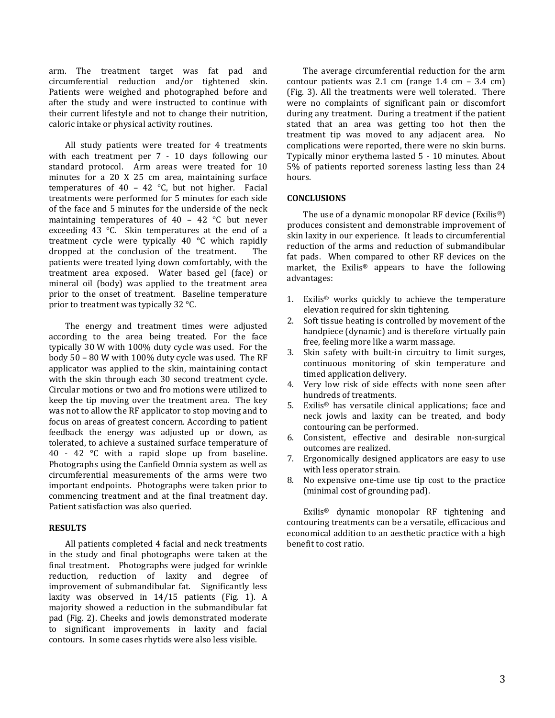arm. The treatment target was fat pad and circumferential reduction and/or tightened skin. Patients were weighed and photographed before and after the study and were instructed to continue with their current lifestyle and not to change their nutrition, caloric intake or physical activity routines.

All study patients were treated for 4 treatments with each treatment per 7 - 10 days following our standard protocol. Arm areas were treated for 10 minutes for a 20 X 25 cm area, maintaining surface temperatures of 40 - 42  $^{\circ}$ C, but not higher. Facial treatments were performed for 5 minutes for each side of the face and 5 minutes for the underside of the neck maintaining temperatures of 40 – 42 °C but never exceeding 43 °C. Skin temperatures at the end of a treatment cycle were typically 40 °C which rapidly<br>dronned at the conclusion of the treatment The dropped at the conclusion of the treatment. patients were treated lying down comfortably, with the treatment area exposed. Water based gel (face) or mineral oil (body) was applied to the treatment area prior to the onset of treatment. Baseline temperature prior to treatment was typically 32 °C.

The energy and treatment times were adjusted according to the area being treated. For the face typically 30 W with 100% duty cycle was used. For the body 50 – 80 W with 100% duty cycle was used. The RF applicator was applied to the skin, maintaining contact with the skin through each 30 second treatment cycle. Circular motions or two and fro motions were utilized to keep the tip moving over the treatment area. The key was not to allow the RF applicator to stop moving and to focus on areas of greatest concern. According to patient feedback the energy was adjusted up or down, as tolerated, to achieve a sustained surface temperature of 40 - 42 °C with a rapid slope up from baseline. Photographs using the Canfield Omnia system as well as circumferential measurements of the arms were two important endpoints. Photographs were taken prior to commencing treatment and at the final treatment day. Patient satisfaction was also queried.

#### **RESULTS**

All patients completed 4 facial and neck treatments in the study and final photographs were taken at the final treatment. Photographs were judged for wrinkle reduction, reduction of laxity and degree of improvement of submandibular fat. Significantly less laxity was observed in 14/15 patients (Fig. 1). A majority showed a reduction in the submandibular fat pad (Fig. 2). Cheeks and jowls demonstrated moderate to significant improvements in laxity and facial contours. In some cases rhytids were also less visible.

The average circumferential reduction for the arm contour patients was 2.1 cm (range 1.4 cm – 3.4 cm) (Fig. 3). All the treatments were well tolerated. There were no complaints of significant pain or discomfort during any treatment. During a treatment if the patient stated that an area was getting too hot then the treatment tip was moved to any adjacent area. No complications were reported, there were no skin burns. Typically minor erythema lasted 5 - 10 minutes. About 5% of patients reported soreness lasting less than 24 hours.

#### **CONCLUSIONS**

The use of a dynamic monopolar RF device (Exilis®) produces consistent and demonstrable improvement of skin laxity in our experience. It leads to circumferential reduction of the arms and reduction of submandibular fat pads. When compared to other RF devices on the market, the Exilis® appears to have the following advantages:

- 1. Exilis® works quickly to achieve the temperature elevation required for skin tightening.
- 2. Soft tissue heating is controlled by movement of the handpiece (dynamic) and is therefore virtually pain free, feeling more like a warm massage.
- 3. Skin safety with built-in circuitry to limit surges, continuous monitoring of skin temperature and timed application delivery.
- 4. Very low risk of side effects with none seen after hundreds of treatments.
- 5. Exilis® has versatile clinical applications; face and neck jowls and laxity can be treated, and body contouring can be performed.
- 6. Consistent, effective and desirable non-surgical outcomes are realized.
- 7. Ergonomically designed applicators are easy to use with less operator strain.
- 8. No expensive one-time use tip cost to the practice (minimal cost of grounding pad).

Exilis® dynamic monopolar RF tightening and contouring treatments can be a versatile, efficacious and economical addition to an aesthetic practice with a high benefit to cost ratio.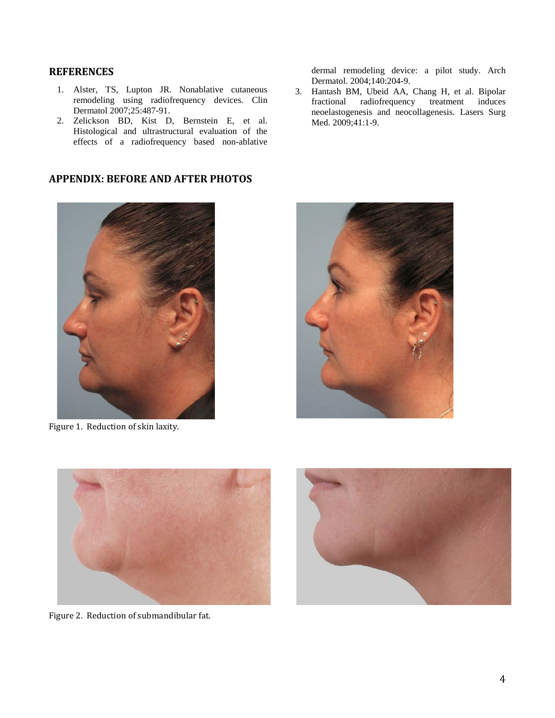## **REFERENCES**

- 1. Alster, TS, Lupton JR. Nonablative cutaneous remodeling using radiofrequency devices. Clin Dermatol 2007;25:487-91.
- 2. Zelickson BD, Kist D, Bernstein E, et al. Histological and ultrastructural evaluation of the effects of a radiofrequency based non-ablative

## **APPENDIX: BEFORE AND AFTER PHOTOS**



Figure 1. Reduction of skin laxity.

dermal remodeling device: a pilot study. Arch Dermatol. 2004;140:204-9.

3. Hantash BM, Ubeid AA, Chang H, et al. Bipolar fractional radiofrequency treatment induces neoelastogenesis and neocollagenesis. Lasers Surg Med. 2009;41:1-9.





Figure 2. Reduction of submandibular fat.